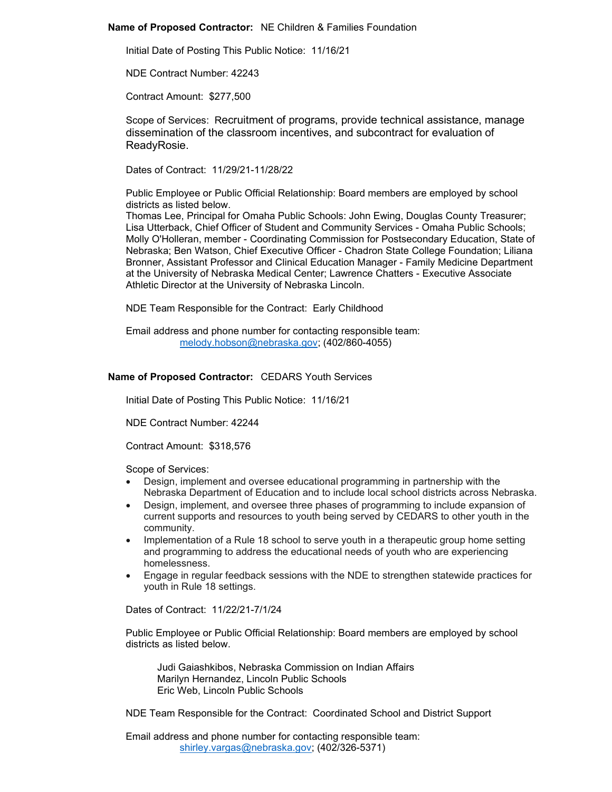## **Name of Proposed Contractor:** NE Children & Families Foundation

Initial Date of Posting This Public Notice: 11/16/21

NDE Contract Number: 42243

Contract Amount: \$277,500

Scope of Services: Recruitment of programs, provide technical assistance, manage dissemination of the classroom incentives, and subcontract for evaluation of ReadyRosie.

Dates of Contract: 11/29/21-11/28/22

Public Employee or Public Official Relationship: Board members are employed by school districts as listed below.

Thomas Lee, Principal for Omaha Public Schools: John Ewing, Douglas County Treasurer; Lisa Utterback, Chief Officer of Student and Community Services - Omaha Public Schools; Molly O'Holleran, member - Coordinating Commission for Postsecondary Education, State of Nebraska; Ben Watson, Chief Executive Officer - Chadron State College Foundation; Liliana Bronner, Assistant Professor and Clinical Education Manager - Family Medicine Department at the University of Nebraska Medical Center; Lawrence Chatters - Executive Associate Athletic Director at the University of Nebraska Lincoln.

NDE Team Responsible for the Contract: Early Childhood

Email address and phone number for contacting responsible team: [melody.hobson@nebraska.gov;](mailto:melody.hobson@nebraska.gov) (402/860-4055)

# **Name of Proposed Contractor:** CEDARS Youth Services

Initial Date of Posting This Public Notice: 11/16/21

NDE Contract Number: 42244

Contract Amount: \$318,576

Scope of Services:

- Design, implement and oversee educational programming in partnership with the Nebraska Department of Education and to include local school districts across Nebraska.
- Design, implement, and oversee three phases of programming to include expansion of current supports and resources to youth being served by CEDARS to other youth in the community.
- Implementation of a Rule 18 school to serve youth in a therapeutic group home setting and programming to address the educational needs of youth who are experiencing homelessness.
- Engage in regular feedback sessions with the NDE to strengthen statewide practices for youth in Rule 18 settings.

Dates of Contract: 11/22/21-7/1/24

Public Employee or Public Official Relationship: Board members are employed by school districts as listed below.

Judi Gaiashkibos, Nebraska Commission on Indian Affairs Marilyn Hernandez, Lincoln Public Schools Eric Web, Lincoln Public Schools

NDE Team Responsible for the Contract: Coordinated School and District Support

Email address and phone number for contacting responsible team: [shirley.vargas@nebraska.gov;](mailto:shirley.vargas@nebraska.gov) (402/326-5371)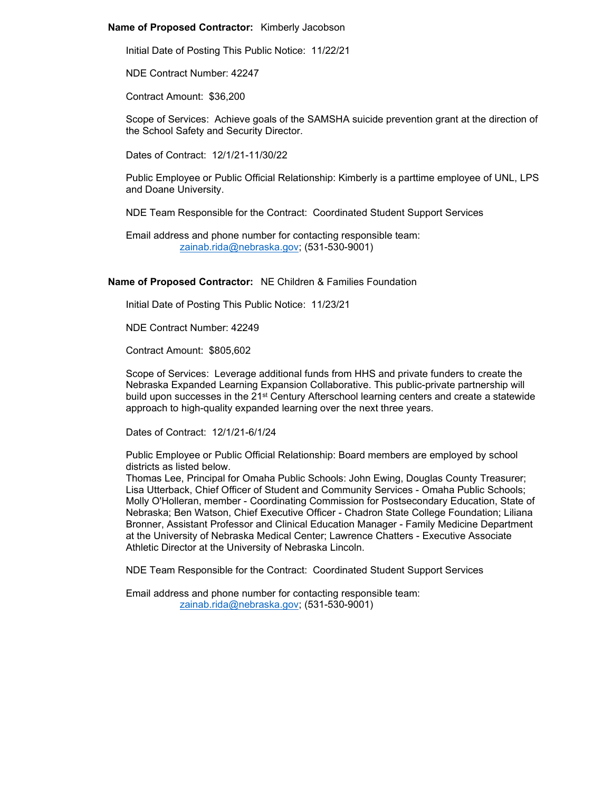#### **Name of Proposed Contractor:** Kimberly Jacobson

Initial Date of Posting This Public Notice: 11/22/21

NDE Contract Number: 42247

Contract Amount: \$36,200

Scope of Services: Achieve goals of the SAMSHA suicide prevention grant at the direction of the School Safety and Security Director.

Dates of Contract: 12/1/21-11/30/22

Public Employee or Public Official Relationship: Kimberly is a parttime employee of UNL, LPS and Doane University.

NDE Team Responsible for the Contract: Coordinated Student Support Services

Email address and phone number for contacting responsible team: [zainab.rida@nebraska.gov;](mailto:zainab.rida@nebraska.gov) (531-530-9001)

**Name of Proposed Contractor:** NE Children & Families Foundation

Initial Date of Posting This Public Notice: 11/23/21

NDE Contract Number: 42249

Contract Amount: \$805,602

Scope of Services: Leverage additional funds from HHS and private funders to create the Nebraska Expanded Learning Expansion Collaborative. This public-private partnership will build upon successes in the 21<sup>st</sup> Century Afterschool learning centers and create a statewide approach to high-quality expanded learning over the next three years.

Dates of Contract: 12/1/21-6/1/24

Public Employee or Public Official Relationship: Board members are employed by school districts as listed below.

Thomas Lee, Principal for Omaha Public Schools: John Ewing, Douglas County Treasurer; Lisa Utterback, Chief Officer of Student and Community Services - Omaha Public Schools; Molly O'Holleran, member - Coordinating Commission for Postsecondary Education, State of Nebraska; Ben Watson, Chief Executive Officer - Chadron State College Foundation; Liliana Bronner, Assistant Professor and Clinical Education Manager - Family Medicine Department at the University of Nebraska Medical Center; Lawrence Chatters - Executive Associate Athletic Director at the University of Nebraska Lincoln.

NDE Team Responsible for the Contract: Coordinated Student Support Services

Email address and phone number for contacting responsible team: [zainab.rida@nebraska.gov;](mailto:zainab.rida@nebraska.gov) (531-530-9001)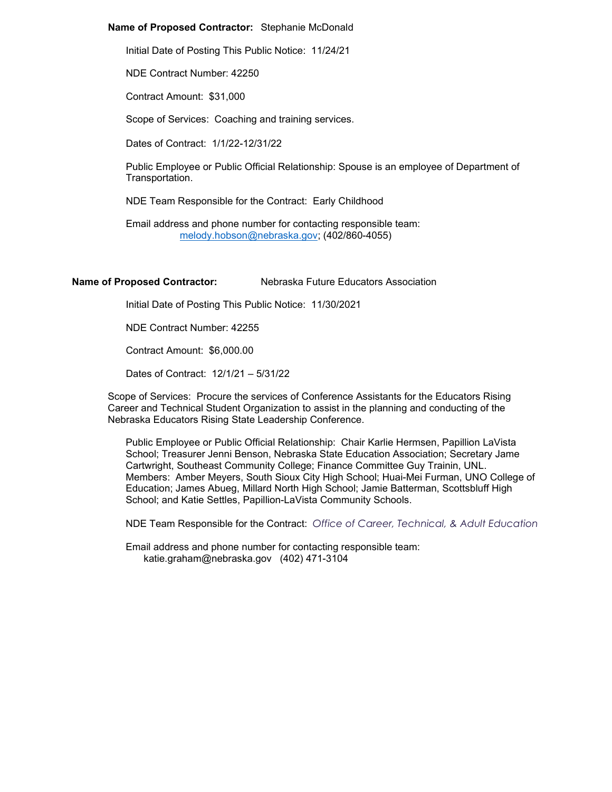### **Name of Proposed Contractor:** Stephanie McDonald

Initial Date of Posting This Public Notice: 11/24/21

NDE Contract Number: 42250

Contract Amount: \$31,000

Scope of Services: Coaching and training services.

Dates of Contract: 1/1/22-12/31/22

Public Employee or Public Official Relationship: Spouse is an employee of Department of Transportation.

NDE Team Responsible for the Contract: Early Childhood

Email address and phone number for contacting responsible team: [melody.hobson@nebraska.gov;](mailto:melody.hobson@nebraska.gov) (402/860-4055)

### **Name of Proposed Contractor:** Nebraska Future Educators Association

Initial Date of Posting This Public Notice: 11/30/2021

NDE Contract Number: 42255

Contract Amount: \$6,000.00

Dates of Contract: 12/1/21 – 5/31/22

Scope of Services: Procure the services of Conference Assistants for the Educators Rising Career and Technical Student Organization to assist in the planning and conducting of the Nebraska Educators Rising State Leadership Conference.

Public Employee or Public Official Relationship: Chair Karlie Hermsen, Papillion LaVista School; Treasurer Jenni Benson, Nebraska State Education Association; Secretary Jame Cartwright, Southeast Community College; Finance Committee Guy Trainin, UNL. Members: Amber Meyers, South Sioux City High School; Huai-Mei Furman, UNO College of Education; James Abueg, Millard North High School; Jamie Batterman, Scottsbluff High School; and Katie Settles, Papillion-LaVista Community Schools.

NDE Team Responsible for the Contract: *Office of Career, Technical, & Adult Education*

Email address and phone number for contacting responsible team: katie.graham@nebraska.gov (402) 471-3104